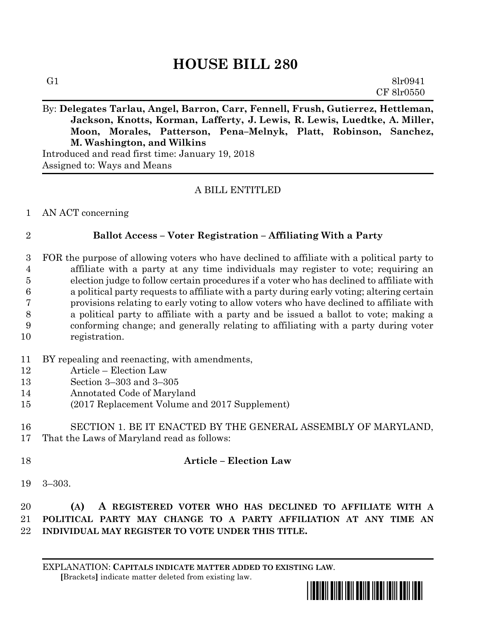# **HOUSE BILL 280**

By: **Delegates Tarlau, Angel, Barron, Carr, Fennell, Frush, Gutierrez, Hettleman, Jackson, Knotts, Korman, Lafferty, J. Lewis, R. Lewis, Luedtke, A. Miller, Moon, Morales, Patterson, Pena–Melnyk, Platt, Robinson, Sanchez, M. Washington, and Wilkins** Introduced and read first time: January 19, 2018

Assigned to: Ways and Means

### A BILL ENTITLED

AN ACT concerning

### **Ballot Access – Voter Registration – Affiliating With a Party**

- FOR the purpose of allowing voters who have declined to affiliate with a political party to affiliate with a party at any time individuals may register to vote; requiring an election judge to follow certain procedures if a voter who has declined to affiliate with a political party requests to affiliate with a party during early voting; altering certain provisions relating to early voting to allow voters who have declined to affiliate with a political party to affiliate with a party and be issued a ballot to vote; making a conforming change; and generally relating to affiliating with a party during voter registration.
- BY repealing and reenacting, with amendments,
- Article Election Law
- Section 3–303 and 3–305
- Annotated Code of Maryland
- (2017 Replacement Volume and 2017 Supplement)

## SECTION 1. BE IT ENACTED BY THE GENERAL ASSEMBLY OF MARYLAND, That the Laws of Maryland read as follows:

- 
- **Article – Election Law**
- 3–303.

 **(A) A REGISTERED VOTER WHO HAS DECLINED TO AFFILIATE WITH A POLITICAL PARTY MAY CHANGE TO A PARTY AFFILIATION AT ANY TIME AN INDIVIDUAL MAY REGISTER TO VOTE UNDER THIS TITLE.**

EXPLANATION: **CAPITALS INDICATE MATTER ADDED TO EXISTING LAW**.  **[**Brackets**]** indicate matter deleted from existing law.

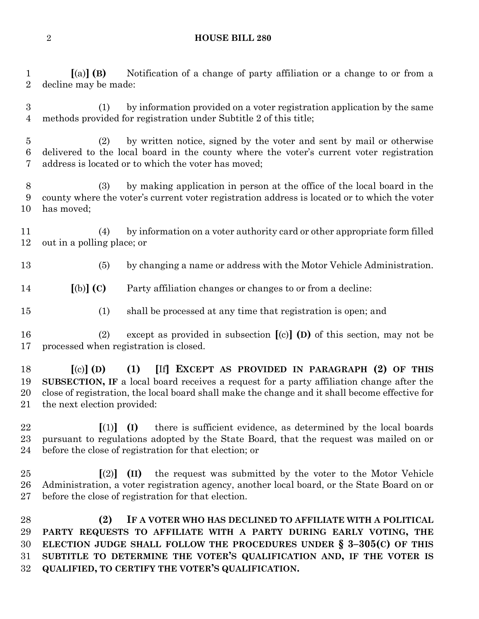#### **HOUSE BILL 280**

 **[**(a)**] (B)** Notification of a change of party affiliation or a change to or from a decline may be made:

 (1) by information provided on a voter registration application by the same methods provided for registration under Subtitle 2 of this title;

 (2) by written notice, signed by the voter and sent by mail or otherwise delivered to the local board in the county where the voter's current voter registration address is located or to which the voter has moved;

 (3) by making application in person at the office of the local board in the county where the voter's current voter registration address is located or to which the voter has moved;

 (4) by information on a voter authority card or other appropriate form filled out in a polling place; or

- (5) by changing a name or address with the Motor Vehicle Administration.
- **[**(b)**] (C)** Party affiliation changes or changes to or from a decline:
- (1) shall be processed at any time that registration is open; and
- (2) except as provided in subsection **[**(c)**] (D)** of this section, may not be processed when registration is closed.

 **[**(c)**] (D) (1) [**If**] EXCEPT AS PROVIDED IN PARAGRAPH (2) OF THIS SUBSECTION, IF** a local board receives a request for a party affiliation change after the close of registration, the local board shall make the change and it shall become effective for the next election provided:

 **[**(1)**] (I)** there is sufficient evidence, as determined by the local boards pursuant to regulations adopted by the State Board, that the request was mailed on or before the close of registration for that election; or

 **[**(2)**] (II)** the request was submitted by the voter to the Motor Vehicle Administration, a voter registration agency, another local board, or the State Board on or before the close of registration for that election.

 **(2) IF A VOTER WHO HAS DECLINED TO AFFILIATE WITH A POLITICAL PARTY REQUESTS TO AFFILIATE WITH A PARTY DURING EARLY VOTING, THE ELECTION JUDGE SHALL FOLLOW THE PROCEDURES UNDER § 3–305(C) OF THIS SUBTITLE TO DETERMINE THE VOTER'S QUALIFICATION AND, IF THE VOTER IS QUALIFIED, TO CERTIFY THE VOTER'S QUALIFICATION.**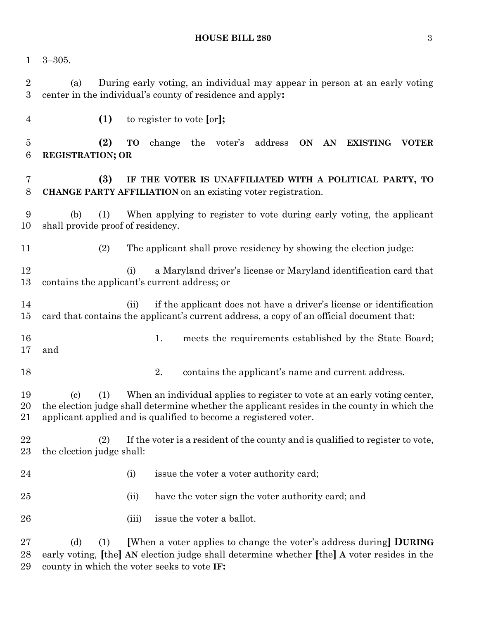3–305.

 (a) During early voting, an individual may appear in person at an early voting center in the individual's county of residence and apply**:**

**(1)** to register to vote **[**or**];**

 **(2) TO** change the voter's address **ON AN EXISTING VOTER REGISTRATION; OR** 

 **(3) IF THE VOTER IS UNAFFILIATED WITH A POLITICAL PARTY, TO CHANGE PARTY AFFILIATION** on an existing voter registration.

 (b) (1) When applying to register to vote during early voting, the applicant shall provide proof of residency.

(2) The applicant shall prove residency by showing the election judge:

 (i) a Maryland driver's license or Maryland identification card that contains the applicant's current address; or

 (ii) if the applicant does not have a driver's license or identification card that contains the applicant's current address, a copy of an official document that:

- 16 16 1. meets the requirements established by the State Board; and
- 2. contains the applicant's name and current address.

 (c) (1) When an individual applies to register to vote at an early voting center, the election judge shall determine whether the applicant resides in the county in which the applicant applied and is qualified to become a registered voter.

 (2) If the voter is a resident of the county and is qualified to register to vote, the election judge shall:

- 24 (i) issue the voter a voter authority card;
- (ii) have the voter sign the voter authority card; and
- 26 (iii) issue the voter a ballot.

 (d) (1) **[**When a voter applies to change the voter's address during**] DURING**  early voting, **[**the**] AN** election judge shall determine whether **[**the**] A** voter resides in the county in which the voter seeks to vote **IF:**